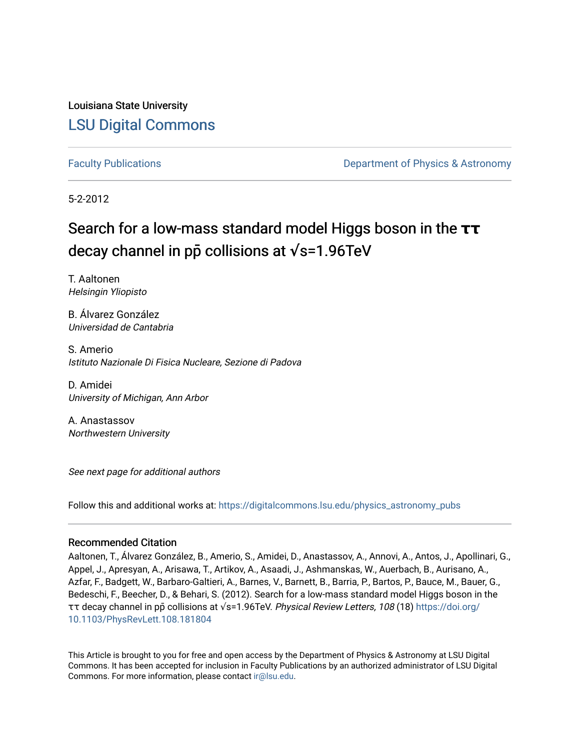Louisiana State University [LSU Digital Commons](https://digitalcommons.lsu.edu/)

[Faculty Publications](https://digitalcommons.lsu.edu/physics_astronomy_pubs) **Example 2** Constant Department of Physics & Astronomy

5-2-2012

### Search for a low-mass standard model Higgs boson in the **ττ** decay channel in pp collisions at √s=1.96TeV

T. Aaltonen Helsingin Yliopisto

B. Álvarez González Universidad de Cantabria

S. Amerio Istituto Nazionale Di Fisica Nucleare, Sezione di Padova

D. Amidei University of Michigan, Ann Arbor

A. Anastassov Northwestern University

See next page for additional authors

Follow this and additional works at: [https://digitalcommons.lsu.edu/physics\\_astronomy\\_pubs](https://digitalcommons.lsu.edu/physics_astronomy_pubs?utm_source=digitalcommons.lsu.edu%2Fphysics_astronomy_pubs%2F2319&utm_medium=PDF&utm_campaign=PDFCoverPages) 

### Recommended Citation

Aaltonen, T., Álvarez González, B., Amerio, S., Amidei, D., Anastassov, A., Annovi, A., Antos, J., Apollinari, G., Appel, J., Apresyan, A., Arisawa, T., Artikov, A., Asaadi, J., Ashmanskas, W., Auerbach, B., Aurisano, A., Azfar, F., Badgett, W., Barbaro-Galtieri, A., Barnes, V., Barnett, B., Barria, P., Bartos, P., Bauce, M., Bauer, G., Bedeschi, F., Beecher, D., & Behari, S. (2012). Search for a low-mass standard model Higgs boson in the ττ decay channel in pp̄ collisions at √s=1.96TeV. Physical Review Letters, 108 (18) [https://doi.org/](https://doi.org/10.1103/PhysRevLett.108.181804) [10.1103/PhysRevLett.108.181804](https://doi.org/10.1103/PhysRevLett.108.181804)

This Article is brought to you for free and open access by the Department of Physics & Astronomy at LSU Digital Commons. It has been accepted for inclusion in Faculty Publications by an authorized administrator of LSU Digital Commons. For more information, please contact [ir@lsu.edu](mailto:ir@lsu.edu).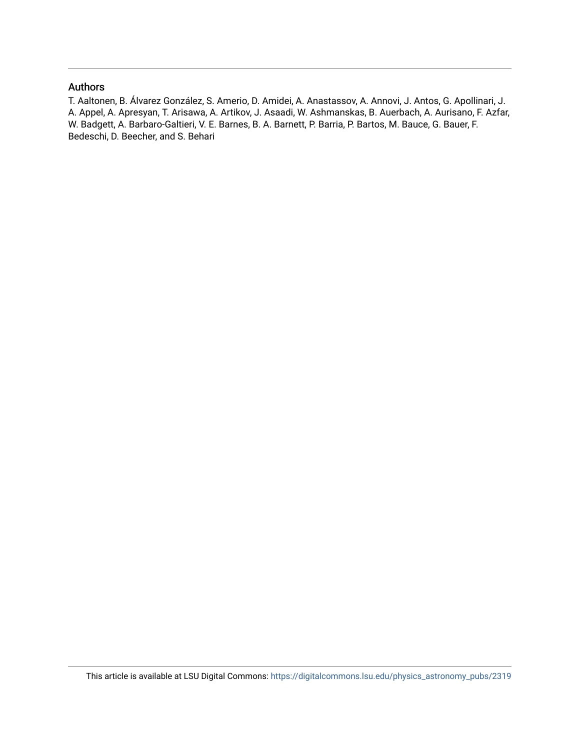#### Authors

T. Aaltonen, B. Álvarez González, S. Amerio, D. Amidei, A. Anastassov, A. Annovi, J. Antos, G. Apollinari, J. A. Appel, A. Apresyan, T. Arisawa, A. Artikov, J. Asaadi, W. Ashmanskas, B. Auerbach, A. Aurisano, F. Azfar, W. Badgett, A. Barbaro-Galtieri, V. E. Barnes, B. A. Barnett, P. Barria, P. Bartos, M. Bauce, G. Bauer, F. Bedeschi, D. Beecher, and S. Behari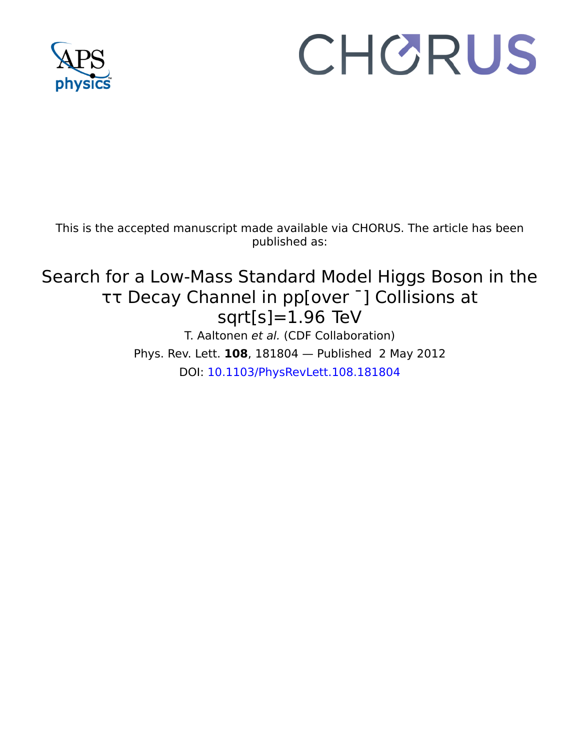

# CHORUS

This is the accepted manuscript made available via CHORUS. The article has been published as:

## Search for a Low-Mass Standard Model Higgs Boson in the ττ Decay Channel in pp[over ¯] Collisions at sqrt[s]=1.96  TeV

T. Aaltonen et al. (CDF Collaboration) Phys. Rev. Lett. **108**, 181804 — Published 2 May 2012 DOI: [10.1103/PhysRevLett.108.181804](http://dx.doi.org/10.1103/PhysRevLett.108.181804)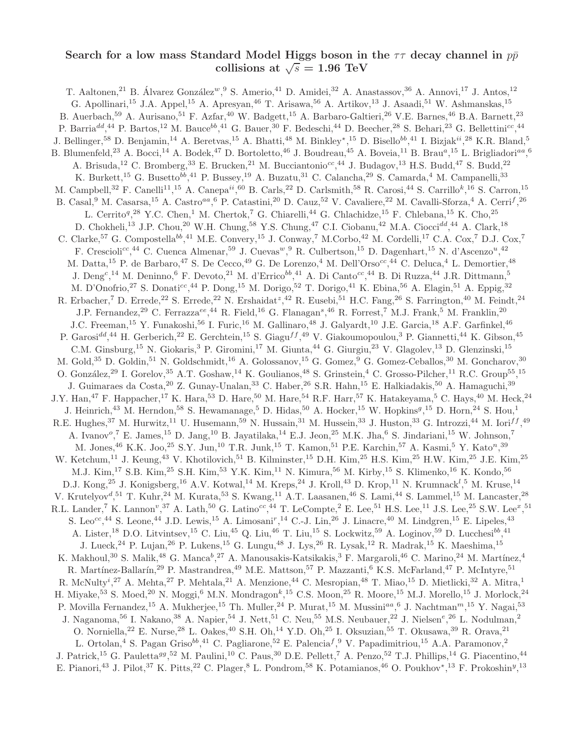### Search for a low mass Standard Model Higgs boson in the  $\tau\tau$  decay channel in  $p\bar{p}$ collisions at  $\sqrt{s} = 1.96 \text{ TeV}$

<sup>13</sup> J.P. Chou,<sup>20</sup> W.H. Chung,<sup>58</sup> Y.S. Chung,<sup>47</sup> C.I. Ciobanu,<sup>42</sup><br>Compostella<sup>bb</sup>,<sup>41</sup> M.E. Convery,<sup>15</sup> J. Conway,<sup>7</sup> M.Corbo,<sup>42</sup> M.<br>
<sup>e</sup>,<sup>44</sup> C. Cuenca Almenar,<sup>59</sup> J. Cuevas<sup>*w*, 9</sup> R. Culbertson,<sup>15</sup> D. I<br>
.de Ba 9001." F. Cumen", "P. A. Cumen", "P. B. Cumen", "P. E. Cumen", "R. C. Corea, "P. C. Corea, "P. C. Corea, "P. C. Corea, "P. C. Corea, "P. C. Corea, "P. C. Corea, "P. C. Corea, "P. C. Corea, "P. C. Corea, P. C. Corea, P. C. T. Aaltonen,<sup>21</sup> B. Álvarez González<sup>w</sup>,<sup>9</sup> S. Amerio,<sup>41</sup> D. Amidei,<sup>32</sup> A. Anastassov,<sup>36</sup> A. Annovi,<sup>17</sup> J. Antos,<sup>12</sup> G. Apollinari,<sup>15</sup> J.A. Appel,<sup>15</sup> A. Apresyan,<sup>46</sup> T. Arisawa,<sup>56</sup> A. Artikov,<sup>13</sup> J. Asaadi,<sup>51</sup> W. Ashmanskas,<sup>15</sup> B. Auerbach,<sup>59</sup> A. Aurisano,<sup>51</sup> F. Azfar,<sup>40</sup> W. Badgett,<sup>15</sup> A. Barbaro-Galtieri,<sup>26</sup> V.E. Barnes,<sup>46</sup> B.A. Barnett,<sup>23</sup> P. Barria<sup>dd</sup>,<sup>44</sup> P. Bartos,<sup>12</sup> M. Bauce<sup>bb</sup>,<sup>41</sup> G. Bauer,<sup>30</sup> F. Bedeschi,<sup>44</sup> D. Beecher,<sup>28</sup> S. Behari,<sup>23</sup> G. Bellettini<sup>cc</sup>,<sup>44</sup> J. Bellinger,<sup>58</sup> D. Benjamin,<sup>14</sup> A. Beretvas,<sup>15</sup> A. Bhatti,<sup>48</sup> M. Binkley<sup>\*</sup>,<sup>15</sup> D. Bisello<sup>bb</sup>,<sup>41</sup> I. Bizjak<sup>ii</sup>,<sup>28</sup> K.R. Bland,<sup>5</sup> B. Blumenfeld,<sup>23</sup> A. Bocci,<sup>14</sup> A. Bodek,<sup>47</sup> D. Bortoletto,<sup>46</sup> J. Boudreau,<sup>45</sup> A. Boveia,<sup>11</sup> B. Brau<sup>a</sup>,<sup>15</sup> L. Brigliadori<sup>aa</sup>,<sup>6</sup> A. Brisuda,<sup>12</sup> C. Bromberg,<sup>33</sup> E. Brucken,<sup>21</sup> M. Bucciantonio<sup>cc</sup>,<sup>44</sup> J. Budagov,<sup>13</sup> H.S. Budd,<sup>47</sup> S. Budd,<sup>22</sup> K. Burkett, <sup>15</sup> G. Busetto<sup>bb</sup>, <sup>41</sup> P. Bussey, <sup>19</sup> A. Buzatu, <sup>31</sup> C. Calancha, <sup>29</sup> S. Camarda, <sup>4</sup> M. Campanelli, <sup>33</sup> M. Campbell,<sup>32</sup> F. Canelli<sup>11</sup>,<sup>15</sup> A. Canepa<sup>ii</sup>,<sup>60</sup> B. Carls,<sup>22</sup> D. Carlsmith,<sup>58</sup> R. Carosi,<sup>44</sup> S. Carrillo<sup>k</sup>,<sup>16</sup> S. Carron,<sup>15</sup> B. Casal, <sup>9</sup> M. Casarsa, <sup>15</sup> A. Castro<sup>aa</sup>, <sup>6</sup> P. Catastini, <sup>20</sup> D. Cauz, <sup>52</sup> V. Cavaliere, <sup>22</sup> M. Cavalli-Sforza, <sup>4</sup> A. Cerri<sup>f</sup>, <sup>26</sup> L. Cerrito<sup>q</sup>,<sup>28</sup> Y.C. Chen,<sup>1</sup> M. Chertok,<sup>7</sup> G. Chiarelli,<sup>44</sup> G. Chlachidze,<sup>15</sup> F. Chlebana,<sup>15</sup> K. Cho,<sup>25</sup> D. Chokheli,<sup>13</sup> J.P. Chou,<sup>20</sup> W.H. Chung,<sup>58</sup> Y.S. Chung,<sup>47</sup> C.I. Ciobanu,<sup>42</sup> M.A. Ciocci<sup>dd</sup>,<sup>44</sup> A. Clark,<sup>18</sup> C. Clarke,<sup>57</sup> G. Compostella<sup>bb</sup>,<sup>41</sup> M.E. Convery,<sup>15</sup> J. Conway,<sup>7</sup> M.Corbo,<sup>42</sup> M. Cordelli,<sup>17</sup> C.A. Cox,<sup>7</sup> D.J. Cox,<sup>7</sup> F. Crescioli<sup>cc</sup>,<sup>44</sup> C. Cuenca Almenar,<sup>59</sup> J. Cuevas<sup>w</sup>,<sup>9</sup> R. Culbertson,<sup>15</sup> D. Dagenhart,<sup>15</sup> N. d'Ascenzo<sup>u</sup>,<sup>42</sup> M. Datta,<sup>15</sup> P. de Barbaro,<sup>47</sup> S. De Cecco,<sup>49</sup> G. De Lorenzo,<sup>4</sup> M. Dell'Orso<sup>cc</sup>,<sup>44</sup> C. Deluca,<sup>4</sup> L. Demortier,<sup>48</sup> J. Deng<sup>c</sup>,<sup>14</sup> M. Deninno,<sup>6</sup> F. Devoto,<sup>21</sup> M. d'Errico<sup>bb</sup>,<sup>41</sup> A. Di Canto<sup>cc</sup>,<sup>44</sup> B. Di Ruzza,<sup>44</sup> J.R. Dittmann,<sup>5</sup> M. D'Onofrio,<sup>27</sup> S. Donati<sup>cc</sup>,<sup>44</sup> P. Dong,<sup>15</sup> M. Dorigo,<sup>52</sup> T. Dorigo,<sup>41</sup> K. Ebina,<sup>56</sup> A. Elagin,<sup>51</sup> A. Eppig,<sup>32</sup> R. Erbacher,<sup>7</sup> D. Errede,<sup>22</sup> S. Errede,<sup>22</sup> N. Ershaidat<sup>z</sup>,<sup>42</sup> R. Eusebi,<sup>51</sup> H.C. Fang,<sup>26</sup> S. Farrington,<sup>40</sup> M. Feindt,<sup>24</sup> J.P. Fernandez,<sup>29</sup> C. Ferrazza<sup>ee</sup>,<sup>44</sup> R. Field,<sup>16</sup> G. Flanagan<sup>s</sup>,<sup>46</sup> R. Forrest,<sup>7</sup> M.J. Frank,<sup>5</sup> M. Franklin,<sup>20</sup> J.C. Freeman,<sup>15</sup> Y. Funakoshi,<sup>56</sup> I. Furic,<sup>16</sup> M. Gallinaro,<sup>48</sup> J. Galyardt,<sup>10</sup> J.E. Garcia,<sup>18</sup> A.F. Garfinkel,<sup>46</sup> P. Garosi<sup>dd</sup>,<sup>44</sup> H. Gerberich,<sup>22</sup> E. Gerchtein,<sup>15</sup> S. Giagu<sup>ff</sup>,<sup>49</sup> V. Giakoumopoulou,<sup>3</sup> P. Giannetti,<sup>44</sup> K. Gibson,<sup>45</sup> C.M. Ginsburg,<sup>15</sup> N. Giokaris,<sup>3</sup> P. Giromini,<sup>17</sup> M. Giunta,<sup>44</sup> G. Giurgiu,<sup>23</sup> V. Glagolev,<sup>13</sup> D. Glenzinski,<sup>15</sup> M. Gold,<sup>35</sup> D. Goldin,<sup>51</sup> N. Goldschmidt,<sup>16</sup> A. Golossanov,<sup>15</sup> G. Gomez,<sup>9</sup> G. Gomez-Ceballos,<sup>30</sup> M. Goncharov,<sup>30</sup> O. González,<sup>29</sup> I. Gorelov,<sup>35</sup> A.T. Goshaw,<sup>14</sup> K. Goulianos,<sup>48</sup> S. Grinstein,<sup>4</sup> C. Grosso-Pilcher,<sup>11</sup> R.C. Group<sup>55</sup>,<sup>15</sup> J. Guimaraes da Costa,<sup>20</sup> Z. Gunay-Unalan,<sup>33</sup> C. Haber,<sup>26</sup> S.R. Hahn,<sup>15</sup> E. Halkiadakis,<sup>50</sup> A. Hamaguchi,<sup>39</sup> J.Y. Han,<sup>47</sup> F. Happacher,<sup>17</sup> K. Hara,<sup>53</sup> D. Hare,<sup>50</sup> M. Hare,<sup>54</sup> R.F. Harr,<sup>57</sup> K. Hatakeyama,<sup>5</sup> C. Hays,<sup>40</sup> M. Heck,<sup>24</sup> J. Heinrich,<sup>43</sup> M. Herndon,<sup>58</sup> S. Hewamanage,<sup>5</sup> D. Hidas,<sup>50</sup> A. Hocker,<sup>15</sup> W. Hopkins<sup>g</sup>,<sup>15</sup> D. Horn,<sup>24</sup> S. Hou,<sup>1</sup> R.E. Hughes,<sup>37</sup> M. Hurwitz,<sup>11</sup> U. Husemann,<sup>59</sup> N. Hussain,<sup>31</sup> M. Hussein,<sup>33</sup> J. Huston,<sup>33</sup> G. Introzzi,<sup>44</sup> M. Iori<sup>ff</sup>,<sup>49</sup> A. Ivanov<sup>o</sup>,<sup>7</sup> E. James,<sup>15</sup> D. Jang,<sup>10</sup> B. Jayatilaka,<sup>14</sup> E.J. Jeon,<sup>25</sup> M.K. Jha,<sup>6</sup> S. Jindariani,<sup>15</sup> W. Johnson,<sup>7</sup> M. Jones, <sup>46</sup> K.K. Joo, <sup>25</sup> S.Y. Jun, <sup>10</sup> T.R. Junk, <sup>15</sup> T. Kamon, <sup>51</sup> P.E. Karchin, <sup>57</sup> A. Kasmi, <sup>5</sup> Y. Kato<sup>n</sup>, <sup>39</sup> W. Ketchum,<sup>11</sup> J. Keung,<sup>43</sup> V. Khotilovich,<sup>51</sup> B. Kilminster,<sup>15</sup> D.H. Kim,<sup>25</sup> H.S. Kim,<sup>25</sup> H.W. Kim,<sup>25</sup> J.E. Kim,<sup>25</sup> M.J. Kim,<sup>17</sup> S.B. Kim,<sup>25</sup> S.H. Kim,<sup>53</sup> Y.K. Kim,<sup>11</sup> N. Kimura,<sup>56</sup> M. Kirby,<sup>15</sup> S. Klimenko,<sup>16</sup> K. Kondo,<sup>56</sup> D.J. Kong,<sup>25</sup> J. Konigsberg,<sup>16</sup> A.V. Kotwal,<sup>14</sup> M. Kreps,<sup>24</sup> J. Kroll,<sup>43</sup> D. Krop,<sup>11</sup> N. Krumnack<sup>l</sup>,<sup>5</sup> M. Kruse,<sup>14</sup> V. Krutelyov<sup>d</sup>,<sup>51</sup> T. Kuhr,<sup>24</sup> M. Kurata,<sup>53</sup> S. Kwang,<sup>11</sup> A.T. Laasanen,<sup>46</sup> S. Lami,<sup>44</sup> S. Lammel,<sup>15</sup> M. Lancaster,<sup>28</sup> R.L. Lander,<sup>7</sup> K. Lannon<sup>v</sup>,<sup>37</sup> A. Lath,<sup>50</sup> G. Latino<sup>cc</sup>,<sup>44</sup> T. LeCompte,<sup>2</sup> E. Lee,<sup>51</sup> H.S. Lee,<sup>11</sup> J.S. Lee,<sup>25</sup> S.W. Lee<sup>x</sup>,<sup>51</sup> S. Leo<sup>cc</sup>,<sup>44</sup> S. Leone,<sup>44</sup> J.D. Lewis,<sup>15</sup> A. Limosani<sup>r</sup>,<sup>14</sup> C.-J. Lin,<sup>26</sup> J. Linacre,<sup>40</sup> M. Lindgren,<sup>15</sup> E. Lipeles,<sup>43</sup> A. Lister,<sup>18</sup> D.O. Litvintsev,<sup>15</sup> C. Liu,<sup>45</sup> Q. Liu,<sup>46</sup> T. Liu,<sup>15</sup> S. Lockwitz,<sup>59</sup> A. Loginov,<sup>59</sup> D. Lucchesi<sup>bb</sup>,<sup>41</sup> J. Lueck,<sup>24</sup> P. Lujan,<sup>26</sup> P. Lukens,<sup>15</sup> G. Lungu,<sup>48</sup> J. Lys,<sup>26</sup> R. Lysak,<sup>12</sup> R. Madrak,<sup>15</sup> K. Maeshima,<sup>15</sup> K. Makhoul,<sup>30</sup> S. Malik,<sup>48</sup> G. Manca<sup>b</sup>,<sup>27</sup> A. Manousakis-Katsikakis,<sup>3</sup> F. Margaroli,<sup>46</sup> C. Marino,<sup>24</sup> M. Martínez,<sup>4</sup> R. Martínez-Ballarín, $^{29}$ P. Mastrandrea,  $^{49}$  M.E. Mattson,  $^{57}$  P. Mazzanti,  $^{6}$  K.S. McFarland,  $^{47}$  P. McIntyre,  $^{51}$ R. McNulty<sup>i</sup>,<sup>27</sup> A. Mehta,<sup>27</sup> P. Mehtala,<sup>21</sup> A. Menzione,<sup>44</sup> C. Mesropian,<sup>48</sup> T. Miao,<sup>15</sup> D. Mietlicki,<sup>32</sup> A. Mitra,<sup>1</sup> H. Miyake,<sup>53</sup> S. Moed,<sup>20</sup> N. Moggi,<sup>6</sup> M.N. Mondragon<sup>k</sup>,<sup>15</sup> C.S. Moon,<sup>25</sup> R. Moore,<sup>15</sup> M.J. Morello,<sup>15</sup> J. Morlock,<sup>24</sup> P. Movilla Fernandez,<sup>15</sup> A. Mukherjee,<sup>15</sup> Th. Muller,<sup>24</sup> P. Murat,<sup>15</sup> M. Mussini<sup>aa</sup>,<sup>6</sup> J. Nachtman<sup>m</sup>,<sup>15</sup> Y. Nagai,<sup>53</sup> J. Naganoma,<sup>56</sup> I. Nakano,<sup>38</sup> A. Napier,<sup>54</sup> J. Nett,<sup>51</sup> C. Neu,<sup>55</sup> M.S. Neubauer,<sup>22</sup> J. Nielsen<sup>e</sup>,<sup>26</sup> L. Nodulman,<sup>2</sup> O. Norniella,<sup>22</sup> E. Nurse,<sup>28</sup> L. Oakes,<sup>40</sup> S.H. Oh,<sup>14</sup> Y.D. Oh,<sup>25</sup> I. Oksuzian,<sup>55</sup> T. Okusawa,<sup>39</sup> R. Orava,<sup>21</sup> L. Ortolan,<sup>4</sup> S. Pagan Griso<sup>bb</sup>,<sup>41</sup> C. Pagliarone,<sup>52</sup> E. Palencia<sup>f</sup>,<sup>9</sup> V. Papadimitriou,<sup>15</sup> A.A. Paramonov,<sup>2</sup> J. Patrick,<sup>15</sup> G. Pauletta<sup>gg</sup>,<sup>52</sup> M. Paulini,<sup>10</sup> C. Paus,<sup>30</sup> D.E. Pellett,<sup>7</sup> A. Penzo,<sup>52</sup> T.J. Phillips,<sup>14</sup> G. Piacentino,<sup>44</sup> E. Pianori,<sup>43</sup> J. Pilot,<sup>37</sup> K. Pitts,<sup>22</sup> C. Plager,<sup>8</sup> L. Pondrom,<sup>58</sup> K. Potamianos,<sup>46</sup> O. Poukhov<sup>\*</sup>,<sup>13</sup> F. Prokoshin<sup>y</sup>,<sup>13</sup>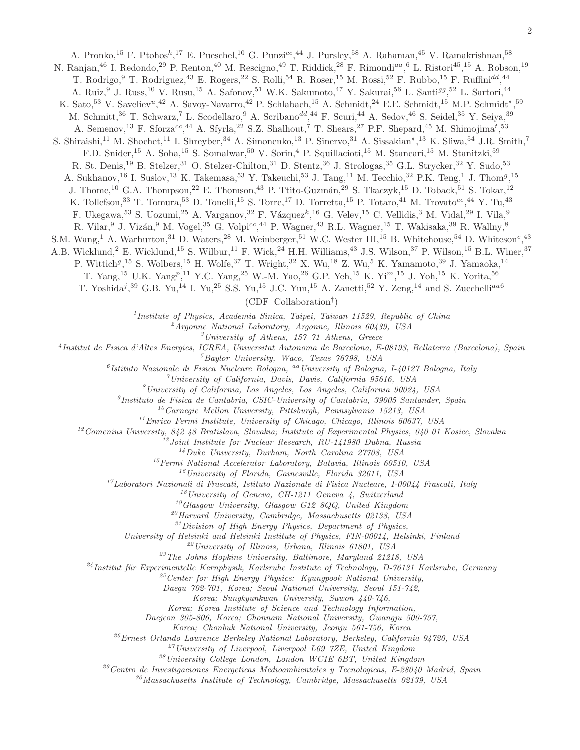A. Pronko,<sup>15</sup> F. Ptohos<sup>h</sup>,<sup>17</sup> E. Pueschel,<sup>10</sup> G. Punzi<sup>cc</sup>,<sup>44</sup> J. Pursley,<sup>58</sup> A. Rahaman,<sup>45</sup> V. Ramakrishnan,<sup>58</sup> N. Ranjan,<sup>46</sup> I. Redondo,<sup>29</sup> P. Renton,<sup>40</sup> M. Rescigno,<sup>49</sup> T. Riddick,<sup>28</sup> F. Rimondi<sup>aa</sup>,<sup>6</sup> L. Ristori<sup>45</sup>,<sup>15</sup> A. Robson,<sup>19</sup> T. Rodrigo, <sup>9</sup> T. Rodriguez, <sup>43</sup> E. Rogers, <sup>22</sup> S. Rolli, <sup>54</sup> R. Roser, <sup>15</sup> M. Rossi, <sup>52</sup> F. Rubbo, <sup>15</sup> F. Ruffini<sup>dd</sup>, <sup>44</sup> A. Ruiz, <sup>9</sup> J. Russ,<sup>10</sup> V. Rusu,<sup>15</sup> A. Safonov,<sup>51</sup> W.K. Sakumoto,<sup>47</sup> Y. Sakurai,<sup>56</sup> L. Santi<sup>gg</sup>,<sup>52</sup> L. Sartori,<sup>44</sup> K. Sato,<sup>53</sup> V. Saveliev<sup>u</sup>,<sup>42</sup> A. Savoy-Navarro,<sup>42</sup> P. Schlabach,<sup>15</sup> A. Schmidt,<sup>24</sup> E.E. Schmidt,<sup>15</sup> M.P. Schmidt<sup>\*</sup>,<sup>59</sup> M. Schmitt,<sup>36</sup> T. Schwarz,<sup>7</sup> L. Scodellaro,<sup>9</sup> A. Scribano<sup>dd</sup>,<sup>44</sup> F. Scuri,<sup>44</sup> A. Sedov,<sup>46</sup> S. Seidel,<sup>35</sup> Y. Seiya,<sup>39</sup> A. Semenov,<sup>13</sup> F. Sforza<sup>cc</sup>,<sup>44</sup> A. Sfyrla,<sup>22</sup> S.Z. Shalhout,<sup>7</sup> T. Shears,<sup>27</sup> P.F. Shepard,<sup>45</sup> M. Shimojima<sup>t</sup>,<sup>53</sup> S. Shiraishi,<sup>11</sup> M. Shochet,<sup>11</sup> I. Shreyber,<sup>34</sup> A. Simonenko,<sup>13</sup> P. Sinervo,<sup>31</sup> A. Sissakian<sup>\*</sup>,<sup>13</sup> K. Sliwa,<sup>54</sup> J.R. Smith,<sup>7</sup> F.D. Snider,<sup>15</sup> A. Soha,<sup>15</sup> S. Somalwar,<sup>50</sup> V. Sorin,<sup>4</sup> P. Squillacioti,<sup>15</sup> M. Stancari,<sup>15</sup> M. Stanitzki,<sup>59</sup> R. St. Denis,<sup>19</sup> B. Stelzer,<sup>31</sup> O. Stelzer-Chilton,<sup>31</sup> D. Stentz,<sup>36</sup> J. Strologas,<sup>35</sup> G.L. Strycker,<sup>32</sup> Y. Sudo,<sup>53</sup> A. Sukhanov,<sup>16</sup> I. Suslov,<sup>13</sup> K. Takemasa,<sup>53</sup> Y. Takeuchi,<sup>53</sup> J. Tang,<sup>11</sup> M. Tecchio,<sup>32</sup> P.K. Teng,<sup>1</sup> J. Thom<sup>g</sup>,<sup>15</sup> J. Thome,<sup>10</sup> G.A. Thompson,<sup>22</sup> E. Thomson,<sup>43</sup> P. Ttito-Guzmán,<sup>29</sup> S. Tkaczyk,<sup>15</sup> D. Toback,<sup>51</sup> S. Tokar,<sup>12</sup> K. Tollefson,<sup>33</sup> T. Tomura,<sup>53</sup> D. Tonelli,<sup>15</sup> S. Torre,<sup>17</sup> D. Torretta,<sup>15</sup> P. Totaro,<sup>41</sup> M. Trovato<sup>ee</sup>,<sup>44</sup> Y. Tu,<sup>43</sup> F. Ukegawa,<sup>53</sup> S. Uozumi,<sup>25</sup> A. Varganov,<sup>32</sup> F. Vázquez<sup>k</sup>,<sup>16</sup> G. Velev,<sup>15</sup> C. Vellidis,<sup>3</sup> M. Vidal,<sup>29</sup> I. Vila,<sup>9</sup> R. Vilar, <sup>9</sup> J. Vizán, <sup>9</sup> M. Vogel, <sup>35</sup> G. Volpi<sup>cc</sup>, <sup>44</sup> P. Wagner, <sup>43</sup> R.L. Wagner, <sup>15</sup> T. Wakisaka, <sup>39</sup> R. Wallny, <sup>8</sup> S.M. Wang,<sup>1</sup> A. Warburton,<sup>31</sup> D. Waters,<sup>28</sup> M. Weinberger,<sup>51</sup> W.C. Wester III,<sup>15</sup> B. Whitehouse,<sup>54</sup> D. Whiteson<sup>c</sup>,<sup>43</sup> A.B. Wicklund,<sup>2</sup> E. Wicklund,<sup>15</sup> S. Wilbur,<sup>11</sup> F. Wick,<sup>24</sup> H.H. Williams,<sup>43</sup> J.S. Wilson,<sup>37</sup> P. Wilson,<sup>15</sup> B.L. Winer,<sup>37</sup> P. Wittich<sup>9</sup>,<sup>15</sup> S. Wolbers,<sup>15</sup> H. Wolfe,<sup>37</sup> T. Wright,<sup>32</sup> X. Wu,<sup>18</sup> Z. Wu,<sup>5</sup> K. Yamamoto,<sup>39</sup> J. Yamaoka,<sup>14</sup> T. Yang,<sup>15</sup> U.K. Yang<sup>p</sup>,<sup>11</sup> Y.C. Yang,<sup>25</sup> W.-M. Yao,<sup>26</sup> G.P. Yeh,<sup>15</sup> K. Yi<sup>m</sup>,<sup>15</sup> J. Yoh,<sup>15</sup> K. Yorita,<sup>56</sup> T. Yoshida<sup>j</sup>,<sup>39</sup> G.B. Yu,<sup>14</sup> I. Yu,<sup>25</sup> S.S. Yu,<sup>15</sup> J.C. Yun,<sup>15</sup> A. Zanetti,<sup>52</sup> Y. Zeng,<sup>14</sup> and S. Zucchelli<sup>aa6</sup> (CDF Collaboration† )

1 *Institute of Physics, Academia Sinica, Taipei, Taiwan 11529, Republic of China*

<sup>2</sup>*Argonne National Laboratory, Argonne, Illinois 60439, USA*

<sup>3</sup>*University of Athens, 157 71 Athens, Greece*

4 *Institut de Fisica d'Altes Energies, ICREA, Universitat Autonoma de Barcelona, E-08193, Bellaterra (Barcelona), Spain*

<sup>5</sup>*Baylor University, Waco, Texas 76798, USA*

<sup>6</sup> Istituto Nazionale di Fisica Nucleare Bologna, <sup>aa</sup> University of Bologna, I-40127 Bologna, Italy

<sup>7</sup>*University of California, Davis, Davis, California 95616, USA*

<sup>8</sup>*University of California, Los Angeles, Los Angeles, California 90024, USA*

9 *Instituto de Fisica de Cantabria, CSIC-University of Cantabria, 39005 Santander, Spain*

<sup>10</sup>*Carnegie Mellon University, Pittsburgh, Pennsylvania 15213, USA*

<sup>11</sup>*Enrico Fermi Institute, University of Chicago, Chicago, Illinois 60637, USA*

<sup>12</sup>*Comenius University, 842 48 Bratislava, Slovakia; Institute of Experimental Physics, 040 01 Kosice, Slovakia*

<sup>13</sup>*Joint Institute for Nuclear Research, RU-141980 Dubna, Russia*

<sup>14</sup>*Duke University, Durham, North Carolina 27708, USA*

<sup>15</sup>*Fermi National Accelerator Laboratory, Batavia, Illinois 60510, USA*

<sup>16</sup>*University of Florida, Gainesville, Florida 32611, USA*

<sup>17</sup>*Laboratori Nazionali di Frascati, Istituto Nazionale di Fisica Nucleare, I-00044 Frascati, Italy*

<sup>18</sup>*University of Geneva, CH-1211 Geneva 4, Switzerland*

<sup>19</sup>*Glasgow University, Glasgow G12 8QQ, United Kingdom*

<sup>20</sup>*Harvard University, Cambridge, Massachusetts 02138, USA*

<sup>21</sup>*Division of High Energy Physics, Department of Physics,*

*University of Helsinki and Helsinki Institute of Physics, FIN-00014, Helsinki, Finland*

<sup>22</sup>*University of Illinois, Urbana, Illinois 61801, USA*

<sup>23</sup>*The Johns Hopkins University, Baltimore, Maryland 21218, USA*

<sup>24</sup>*Institut für Experimentelle Kernphysik, Karlsruhe Institute of Technology, D-76131 Karlsruhe, Germany* 

<sup>25</sup>*Center for High Energy Physics: Kyungpook National University,*

*Daegu 702-701, Korea; Seoul National University, Seoul 151-742,*

*Korea; Sungkyunkwan University, Suwon 440-746,*

*Korea; Korea Institute of Science and Technology Information,*

*Daejeon 305-806, Korea; Chonnam National University, Gwangju 500-757,*

*Korea; Chonbuk National University, Jeonju 561-756, Korea*

<sup>26</sup>*Ernest Orlando Lawrence Berkeley National Laboratory, Berkeley, California 94720, USA*

<sup>27</sup>*University of Liverpool, Liverpool L69 7ZE, United Kingdom*

<sup>28</sup>*University College London, London WC1E 6BT, United Kingdom*

<sup>29</sup>*Centro de Investigaciones Energeticas Medioambientales y Tecnologicas, E-28040 Madrid, Spain*

<sup>30</sup>*Massachusetts Institute of Technology, Cambridge, Massachusetts 02139, USA*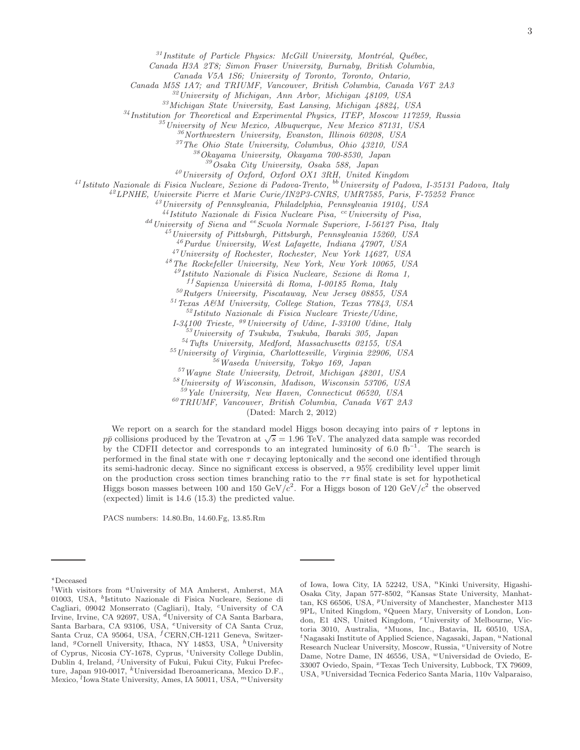<sup>31</sup> Institute of Particle Physics: McGill University, Montréal, Québec,

*Canada H3A 2T8; Simon Fraser University, Burnaby, British Columbia,*

*Canada V5A 1S6; University of Toronto, Toronto, Ontario,*

*Canada M5S 1A7; and TRIUMF, Vancouver, British Columbia, Canada V6T 2A3*

<sup>32</sup>*University of Michigan, Ann Arbor, Michigan 48109, USA*

<sup>33</sup>*Michigan State University, East Lansing, Michigan 48824, USA*

<sup>34</sup>*Institution for Theoretical and Experimental Physics, ITEP, Moscow 117259, Russia*

<sup>35</sup>*University of New Mexico, Albuquerque, New Mexico 87131, USA*

<sup>36</sup>*Northwestern University, Evanston, Illinois 60208, USA*

<sup>37</sup>*The Ohio State University, Columbus, Ohio 43210, USA*

<sup>38</sup>*Okayama University, Okayama 700-8530, Japan*

<sup>39</sup>*Osaka City University, Osaka 588, Japan*

<sup>40</sup>*University of Oxford, Oxford OX1 3RH, United Kingdom*

<sup>41</sup>*Istituto Nazionale di Fisica Nucleare, Sezione di Padova-Trento,* bb*University of Padova, I-35131 Padova, Italy*

<sup>42</sup>*LPNHE, Universite Pierre et Marie Curie/IN2P3-CNRS, UMR7585, Paris, F-75252 France*

<sup>43</sup>*University of Pennsylvania, Philadelphia, Pennsylvania 19104, USA*

<sup>44</sup>*Istituto Nazionale di Fisica Nucleare Pisa,* cc*University of Pisa,*

<sup>dd</sup> University of Siena and <sup>ee</sup> Scuola Normale Superiore, I-56127 Pisa, Italy

<sup>45</sup>*University of Pittsburgh, Pittsburgh, Pennsylvania 15260, USA*

<sup>46</sup>*Purdue University, West Lafayette, Indiana 47907, USA*

<sup>47</sup>*University of Rochester, Rochester, New York 14627, USA*

<sup>48</sup>*The Rockefeller University, New York, New York 10065, USA*

<sup>49</sup>*Istituto Nazionale di Fisica Nucleare, Sezione di Roma 1,*

f f *Sapienza Universit`a di Roma, I-00185 Roma, Italy*

<sup>50</sup>*Rutgers University, Piscataway, New Jersey 08855, USA*

<sup>51</sup>*Texas A&M University, College Station, Texas 77843, USA*

<sup>52</sup>*Istituto Nazionale di Fisica Nucleare Trieste/Udine,*

*I-34100 Trieste,* gg*University of Udine, I-33100 Udine, Italy* <sup>53</sup>*University of Tsukuba, Tsukuba, Ibaraki 305, Japan*

<sup>54</sup>*Tufts University, Medford, Massachusetts 02155, USA*

<sup>55</sup>*University of Virginia, Charlottesville, Virginia 22906, USA* <sup>56</sup>*Waseda University, Tokyo 169, Japan*

<sup>57</sup>*Wayne State University, Detroit, Michigan 48201, USA*

<sup>58</sup>*University of Wisconsin, Madison, Wisconsin 53706, USA*

<sup>59</sup>*Yale University, New Haven, Connecticut 06520, USA*

<sup>60</sup>*TRIUMF, Vancouver, British Columbia, Canada V6T 2A3*

(Dated: March 2, 2012)

We report on a search for the standard model Higgs boson decaying into pairs of  $\tau$  leptons in  $p\bar{p}$  collisions produced by the Tevatron at  $\sqrt{s} = 1.96$  TeV. The analyzed data sample was recorded by the CDFII detector and corresponds to an integrated luminosity of 6.0 fb<sup>−</sup><sup>1</sup> . The search is performed in the final state with one  $\tau$  decaying leptonically and the second one identified through its semi-hadronic decay. Since no significant excess is observed, a 95% credibility level upper limit on the production cross section times branching ratio to the  $\tau\tau$  final state is set for hypothetical Higgs boson masses between 100 and 150 GeV/ $c^2$ . For a Higgs boson of 120 GeV/ $c^2$  the observed (expected) limit is 14.6 (15.3) the predicted value.

PACS numbers: 14.80.Bn, 14.60.Fg, 13.85.Rm

<sup>∗</sup>Deceased

of Iowa, Iowa City, IA 52242, USA, "Kinki University, Higashi-Osaka City, Japan 577-8502, <sup>o</sup>Kansas State University, Manhattan, KS 66506, USA, <sup>p</sup>University of Manchester, Manchester M13 9PL, United Kingdom, <sup>q</sup>Queen Mary, University of London, London, E1 4NS, United Kingdom, "University of Melbourne, Victoria 3010, Australia, <sup>s</sup>Muons, Inc., Batavia, IL 60510, USA,  ${}^t$ Nagasaki Institute of Applied Science, Nagasaki, Japan,  ${}^u$ National Research Nuclear University, Moscow, Russia, <sup>v</sup>University of Notre Dame, Notre Dame, IN 46556, USA, <sup>w</sup>Universidad de Oviedo, E-33007 Oviedo, Spain, <sup>x</sup>Texas Tech University, Lubbock, TX 79609, USA, <sup>y</sup>Universidad Tecnica Federico Santa Maria, 110v Valparaiso,

<sup>&</sup>lt;sup>†</sup>With visitors from <sup>a</sup>University of MA Amherst, Amherst, MA 01003, USA, <sup>b</sup>Istituto Nazionale di Fisica Nucleare, Sezione di Cagliari, 09042 Monserrato (Cagliari), Italy, <sup>c</sup>University of CA Irvine, Irvine, CA 92697, USA, <sup>d</sup>University of CA Santa Barbara, Santa Barbara, CA 93106, USA, <sup>e</sup>University of CA Santa Cruz, Santa Cruz, CA 95064, USA, <sup>f</sup>CERN,CH-1211 Geneva, Switzerland,  ${}^g$ Cornell University, Ithaca, NY 14853, USA,  ${}^h$ University of Cyprus, Nicosia CY-1678, Cyprus, <sup>*i*</sup>University College Dublin, Dublin 4, Ireland, <sup>j</sup>University of Fukui, Fukui City, Fukui Prefecture, Japan 910-0017, <sup>k</sup>Universidad Iberoamericana, Mexico D.F., Mexico, <sup>l</sup>Iowa State University, Ames, IA 50011, USA, <sup>*m*</sup>University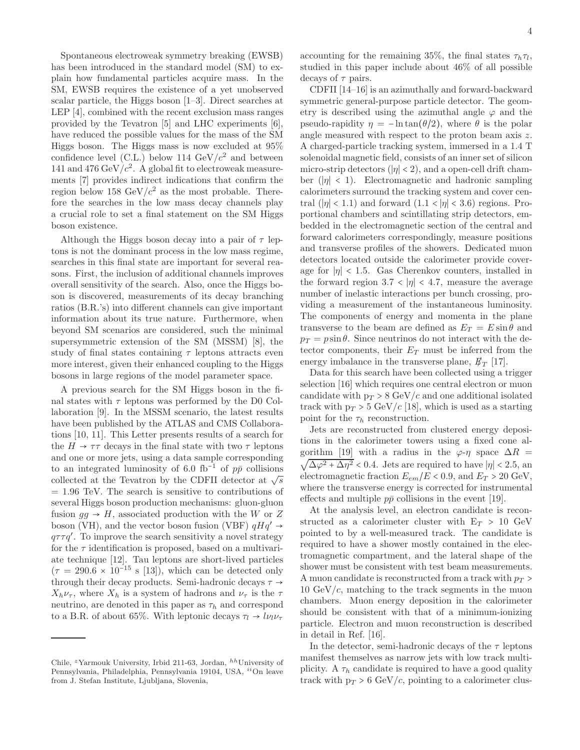Spontaneous electroweak symmetry breaking (EWSB) has been introduced in the standard model (SM) to explain how fundamental particles acquire mass. In the SM, EWSB requires the existence of a yet unobserved scalar particle, the Higgs boson [1–3]. Direct searches at LEP [4], combined with the recent exclusion mass ranges provided by the Tevatron [5] and LHC experiments [6], have reduced the possible values for the mass of the SM Higgs boson. The Higgs mass is now excluded at 95% confidence level (C.L.) below 114  $\text{GeV}/c^2$  and between 141 and 476 GeV/ $c^2$ . A global fit to electroweak measurements [7] provides indirect indications that confirm the region below 158 GeV/ $c^2$  as the most probable. Therefore the searches in the low mass decay channels play a crucial role to set a final statement on the SM Higgs boson existence.

Although the Higgs boson decay into a pair of  $\tau$  leptons is not the dominant process in the low mass regime, searches in this final state are important for several reasons. First, the inclusion of additional channels improves overall sensitivity of the search. Also, once the Higgs boson is discovered, measurements of its decay branching ratios (B.R.'s) into different channels can give important information about its true nature. Furthermore, when beyond SM scenarios are considered, such the minimal supersymmetric extension of the SM (MSSM) [8], the study of final states containing  $\tau$  leptons attracts even more interest, given their enhanced coupling to the Higgs bosons in large regions of the model parameter space.

A previous search for the SM Higgs boson in the final states with  $\tau$  leptons was performed by the D0 Collaboration [9]. In the MSSM scenario, the latest results have been published by the ATLAS and CMS Collaborations [10, 11]. This Letter presents results of a search for the  $H \rightarrow \tau\tau$  decays in the final state with two  $\tau$  leptons and one or more jets, using a data sample corresponding to an integrated luminosity of 6.0 fb<sup>-1</sup> of  $p\bar{p}$  collisions collected at the Tevatron by the CDFII detector at  $\sqrt{s}$  $= 1.96$  TeV. The search is sensitive to contributions of several Higgs boson production mechanisms: gluon-gluon fusion  $gg \to H$ , associated production with the W or Z boson (VH), and the vector boson fusion (VBF)  $qHq' \rightarrow$  $q\tau\tau q'$ . To improve the search sensitivity a novel strategy for the  $\tau$  identification is proposed, based on a multivariate technique [12]. Tau leptons are short-lived particles  $(\tau = 290.6 \times 10^{-15} \text{ s } [13])$ , which can be detected only through their decay products. Semi-hadronic decays  $\tau \rightarrow$  $X_h\nu_\tau$ , where  $X_h$  is a system of hadrons and  $\nu_\tau$  is the  $\tau$ neutrino, are denoted in this paper as  $\tau_h$  and correspond to a B.R. of about 65%. With leptonic decays  $\tau_l \rightarrow l \nu_l \nu_\tau$ 

accounting for the remaining 35%, the final states  $\tau_h \tau_l$ , studied in this paper include about 46% of all possible decays of  $\tau$  pairs.

CDFII [14–16] is an azimuthally and forward-backward symmetric general-purpose particle detector. The geometry is described using the azimuthal angle  $\varphi$  and the pseudo-rapidity  $\eta = -\ln \tan(\theta/2)$ , where  $\theta$  is the polar angle measured with respect to the proton beam axis z. A charged-particle tracking system, immersed in a 1.4 T solenoidal magnetic field, consists of an inner set of silicon micro-strip detectors ( $|\eta|$  < 2), and a open-cell drift chamber ( $|\eta|$  < 1). Electromagnetic and hadronic sampling calorimeters surround the tracking system and cover central ( $|\eta|$  < 1.1) and forward (1.1 <  $|\eta|$  < 3.6) regions. Proportional chambers and scintillating strip detectors, embedded in the electromagnetic section of the central and forward calorimeters correspondingly, measure positions and transverse profiles of the showers. Dedicated muon detectors located outside the calorimeter provide coverage for  $|\eta|$  < 1.5. Gas Cherenkov counters, installed in the forward region 3.7 < | $|\eta|$  < 4.7, measure the average number of inelastic interactions per bunch crossing, providing a measurement of the instantaneous luminosity. The components of energy and momenta in the plane transverse to the beam are defined as  $E_T = E \sin \theta$  and  $p_T = p \sin \theta$ . Since neutrinos do not interact with the detector components, their  $E_T$  must be inferred from the energy imbalance in the transverse plane,  $E_T$  [17].

Data for this search have been collected using a trigger selection [16] which requires one central electron or muon candidate with  $p_T > 8$  GeV/c and one additional isolated track with  $p_T > 5$  GeV/c [18], which is used as a starting point for the  $\tau_h$  reconstruction.

Jets are reconstructed from clustered energy depositions in the calorimeter towers using a fixed cone algorithm [19] with a radius in the  $\varphi$ - $\eta$  space  $\Delta R =$  $\sqrt{\Delta\varphi^2 + \Delta\eta^2}$  < 0.4. Jets are required to have  $|\eta| < 2.5$ , and electromagnetic fraction  $E_{em}/E < 0.9$ , and  $E_T > 20$  GeV, where the transverse energy is corrected for instrumental effects and multiple  $p\bar{p}$  collisions in the event [19].

At the analysis level, an electron candidate is reconstructed as a calorimeter cluster with  $E_T > 10$  GeV pointed to by a well-measured track. The candidate is required to have a shower mostly contained in the electromagnetic compartment, and the lateral shape of the shower must be consistent with test beam measurements. A muon candidate is reconstructed from a track with  $p_T$  >  $10 \text{ GeV}/c$ , matching to the track segments in the muon chambers. Muon energy deposition in the calorimeter should be consistent with that of a minimum-ionizing particle. Electron and muon reconstruction is described in detail in Ref. [16].

In the detector, semi-hadronic decays of the  $\tau$  leptons manifest themselves as narrow jets with low track multiplicity. A  $\tau_h$  candidate is required to have a good quality track with  $p_T > 6$  GeV/c, pointing to a calorimeter clus-

Chile, <sup>z</sup>Yarmouk University, Irbid 211-63, Jordan,  $^{hh}$ University of Pennsylvania, Philadelphia, Pennsylvania 19104, USA, <sup>ii</sup>On leave from J. Stefan Institute, Ljubljana, Slovenia,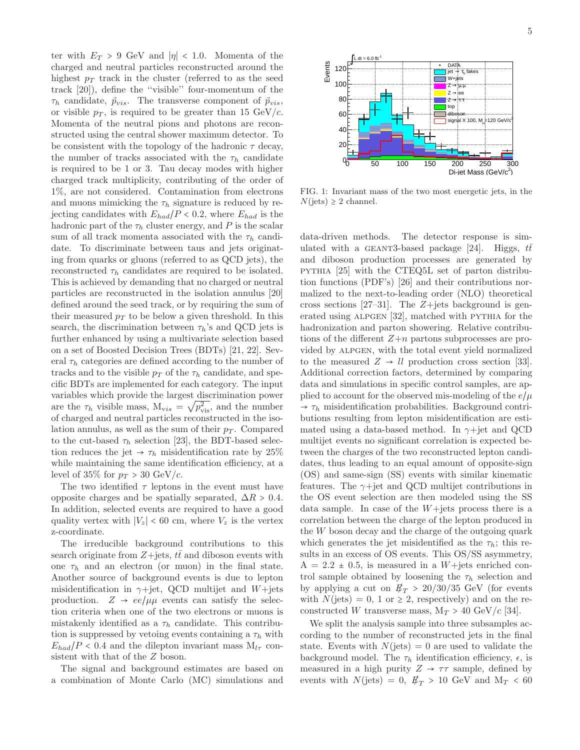ter with  $E_T > 9$  GeV and  $|\eta| < 1.0$ . Momenta of the charged and neutral particles reconstructed around the highest  $p_T$  track in the cluster (referred to as the seed track [20]), define the ''visible'' four-momentum of the  $\tau_h$  candidate,  $\vec{p}_{vis}$ . The transverse component of  $\vec{p}_{vis}$ , or visible  $p_T$ , is required to be greater than 15 GeV/c. Momenta of the neutral pions and photons are reconstructed using the central shower maximum detector. To be consistent with the topology of the hadronic  $\tau$  decay, the number of tracks associated with the  $\tau_h$  candidate is required to be 1 or 3. Tau decay modes with higher charged track multiplicity, contributing of the order of 1%, are not considered. Contamination from electrons and muons mimicking the  $\tau_h$  signature is reduced by rejecting candidates with  $E_{had}/P < 0.2$ , where  $E_{had}$  is the hadronic part of the  $\tau_h$  cluster energy, and P is the scalar sum of all track momenta associated with the  $\tau_h$  candidate. To discriminate between taus and jets originating from quarks or gluons (referred to as QCD jets), the reconstructed  $\tau_h$  candidates are required to be isolated. This is achieved by demanding that no charged or neutral particles are reconstructed in the isolation annulus [20] defined around the seed track, or by requiring the sum of their measured  $p_T$  to be below a given threshold. In this search, the discrimination between  $\tau_h$ 's and QCD jets is further enhanced by using a multivariate selection based on a set of Boosted Decision Trees (BDTs) [21, 22]. Several  $\tau_h$  categories are defined according to the number of tracks and to the visible  $p_T$  of the  $\tau_h$  candidate, and specific BDTs are implemented for each category. The input variables which provide the largest discrimination power are the  $\tau_h$  visible mass,  $M_{vis} = \sqrt{p_{vis}^2}$ , and the number of charged and neutral particles reconstructed in the isolation annulus, as well as the sum of their  $p<sub>T</sub>$ . Compared to the cut-based  $\tau_h$  selection [23], the BDT-based selection reduces the jet  $\rightarrow \tau_h$  misidentification rate by 25% while maintaining the same identification efficiency, at a level of 35% for  $p_T > 30$  GeV/c.

The two identified  $\tau$  leptons in the event must have opposite charges and be spatially separated,  $\Delta R > 0.4$ . In addition, selected events are required to have a good quality vertex with  $|V_z|$  < 60 cm, where  $V_z$  is the vertex z-coordinate.

The irreducible background contributions to this search originate from  $Z+{\text{jets}}$ ,  $t\bar{t}$  and diboson events with one  $\tau_h$  and an electron (or muon) in the final state. Another source of background events is due to lepton misidentification in  $\gamma$ +jet, QCD multijet and W+jets production.  $Z \rightarrow ee/\mu\mu$  events can satisfy the selection criteria when one of the two electrons or muons is mistakenly identified as a  $\tau_h$  candidate. This contribution is suppressed by vetoing events containing a  $\tau_h$  with  $E_{had}/P < 0.4$  and the dilepton invariant mass  $M_{l\tau}$  consistent with that of the Z boson.

The signal and background estimates are based on a combination of Monte Carlo (MC) simulations and



FIG. 1: Invariant mass of the two most energetic jets, in the  $N(\text{jets}) \geq 2$  channel.

data-driven methods. The detector response is simulated with a GEANT3-based package [24]. Higgs,  $t\bar{t}$ and diboson production processes are generated by pythia [25] with the CTEQ5L set of parton distribution functions (PDF's) [26] and their contributions normalized to the next-to-leading order (NLO) theoretical cross sections [27–31]. The  $Z+{\text{jets}}$  background is generated using ALPGEN [32], matched with PYTHIA for the hadronization and parton showering. Relative contributions of the different  $Z+n$  partons subprocesses are provided by alpgen, with the total event yield normalized to the measured  $Z \rightarrow ll$  production cross section [33]. Additional correction factors, determined by comparing data and simulations in specific control samples, are applied to account for the observed mis-modeling of the  $e/\mu$  $\rightarrow \tau_h$  misidentification probabilities. Background contributions resulting from lepton misidentification are estimated using a data-based method. In  $\gamma$ +jet and QCD multijet events no significant correlation is expected between the charges of the two reconstructed lepton candidates, thus leading to an equal amount of opposite-sign (OS) and same-sign (SS) events with similar kinematic features. The  $\gamma$ +jet and QCD multijet contributions in the OS event selection are then modeled using the SS data sample. In case of the  $W+$ jets process there is a correlation between the charge of the lepton produced in the  $W$  boson decay and the charge of the outgoing quark which generates the jet misidentified as the  $\tau_h$ ; this results in an excess of OS events. This OS/SS asymmetry,  $A = 2.2 \pm 0.5$ , is measured in a W+jets enriched control sample obtained by loosening the  $\tau_h$  selection and by applying a cut on  $E_T > 20/30/35$  GeV (for events with  $N(jets) = 0, 1$  or  $\geq 2$ , respectively) and on the reconstructed W transverse mass,  $M_T > 40$  GeV/c [34].

We split the analysis sample into three subsamples according to the number of reconstructed jets in the final state. Events with  $N(jets) = 0$  are used to validate the background model. The  $\tau_h$  identification efficiency,  $\epsilon$ , is measured in a high purity  $Z \rightarrow \tau \tau$  sample, defined by events with  $N(\text{jets}) = 0$ ,  $\rlap{\,/}E_T > 10$  GeV and  $M_T < 60$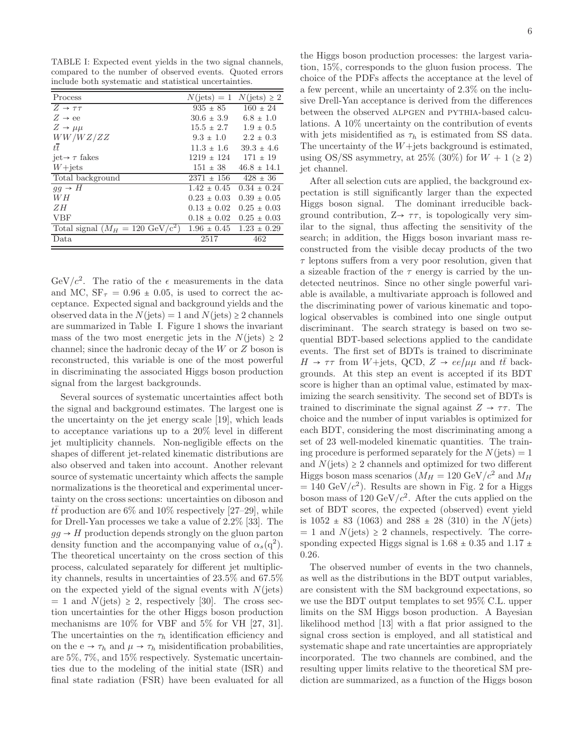| Process                                    | $N(\text{jets}) = 1$            | $N(jets) \geq 2$ |
|--------------------------------------------|---------------------------------|------------------|
| $Z \rightarrow \tau \tau$                  | $935 \pm 85$                    | $160 \pm 24$     |
| $Z \rightarrow ee$                         | $30.6 \pm 3.9$                  | $6.8 \pm 1.0$    |
| $Z \rightarrow \mu\mu$                     | $15.5 \pm 2.7$                  | $1.9 \pm 0.5$    |
| WW/WZ/ZZ                                   | $9.3 \pm 1.0$                   | $2.2 \pm 0.3$    |
| tŦ                                         | $11.3 + 1.6$                    | $39.3 \pm 4.6$   |
| jet $\rightarrow \tau$ fakes               | $1219 \pm 124$                  | $171 \pm 19$     |
| $W+{\rm jets}$                             | $151 \pm 38$                    | $46.8 \pm 14.1$  |
| Total background                           | $2371 \pm 156$                  | $428 \pm 36$     |
| $qq \rightarrow H$                         | $1.42 \pm 0.45$                 | $0.34 \pm 0.24$  |
| WH                                         | $0.23 \pm 0.03$                 | $0.39 \pm 0.05$  |
| ZΗ                                         | $0.13 \pm 0.02$                 | $0.25 \pm 0.03$  |
| <b>VBF</b>                                 | $0.18 \pm 0.02$                 | $0.25 \pm 0.03$  |
| Total signal $(M_H = 120 \text{ GeV/c}^2)$ | $1.96 \pm 0.45$ $1.23 \pm 0.29$ |                  |
| Data                                       | 2517                            | 462              |

GeV/ $c^2$ . The ratio of the  $\epsilon$  measurements in the data and MC,  $SF_\tau = 0.96 \pm 0.05$ , is used to correct the acceptance. Expected signal and background yields and the observed data in the  $N(\text{jets}) = 1$  and  $N(\text{jets}) \geq 2$  channels are summarized in Table I. Figure 1 shows the invariant mass of the two most energetic jets in the  $N(jets) \geq 2$ channel; since the hadronic decay of the W or Z boson is reconstructed, this variable is one of the most powerful in discriminating the associated Higgs boson production signal from the largest backgrounds.

Several sources of systematic uncertainties affect both the signal and background estimates. The largest one is the uncertainty on the jet energy scale [19], which leads to acceptance variations up to a 20% level in different jet multiplicity channels. Non-negligible effects on the shapes of different jet-related kinematic distributions are also observed and taken into account. Another relevant source of systematic uncertainty which affects the sample normalizations is the theoretical and experimental uncertainty on the cross sections: uncertainties on diboson and  $t\bar{t}$  production are 6% and 10% respectively [27–29], while for Drell-Yan processes we take a value of 2.2% [33]. The  $gg \rightarrow H$  production depends strongly on the gluon parton density function and the accompanying value of  $\alpha_s(q^2)$ . The theoretical uncertainty on the cross section of this process, calculated separately for different jet multiplicity channels, results in uncertainties of 23.5% and 67.5% on the expected yield of the signal events with  $N(jets)$  $= 1$  and  $N(\text{jets}) \geq 2$ , respectively [30]. The cross section uncertainties for the other Higgs boson production mechanisms are 10% for VBF and 5% for VH [27, 31]. The uncertainties on the  $\tau_h$  identification efficiency and on the e  $\rightarrow \tau_h$  and  $\mu \rightarrow \tau_h$  misidentification probabilities, are 5%, 7%, and 15% respectively. Systematic uncertainties due to the modeling of the initial state (ISR) and final state radiation (FSR) have been evaluated for all

the Higgs boson production processes: the largest variation, 15%, corresponds to the gluon fusion process. The choice of the PDFs affects the acceptance at the level of a few percent, while an uncertainty of 2.3% on the inclusive Drell-Yan acceptance is derived from the differences between the observed ALPGEN and PYTHIA-based calculations. A 10% uncertainty on the contribution of events with jets misidentified as  $\tau_h$  is estimated from SS data. The uncertainty of the  $W+$ jets background is estimated, using OS/SS asymmetry, at 25\% (30\%) for  $W + 1$  ( $\geq$  2) jet channel.

After all selection cuts are applied, the background expectation is still significantly larger than the expected Higgs boson signal. The dominant irreducible background contribution,  $Z \rightarrow \tau \tau$ , is topologically very similar to the signal, thus affecting the sensitivity of the search; in addition, the Higgs boson invariant mass reconstructed from the visible decay products of the two  $\tau$  leptons suffers from a very poor resolution, given that a sizeable fraction of the  $\tau$  energy is carried by the undetected neutrinos. Since no other single powerful variable is available, a multivariate approach is followed and the discriminating power of various kinematic and topological observables is combined into one single output discriminant. The search strategy is based on two sequential BDT-based selections applied to the candidate events. The first set of BDTs is trained to discriminate  $H \to \tau\tau$  from W+jets, QCD,  $Z \to ee/\mu\mu$  and  $t\bar{t}$  backgrounds. At this step an event is accepted if its BDT score is higher than an optimal value, estimated by maximizing the search sensitivity. The second set of BDTs is trained to discriminate the signal against  $Z \rightarrow \tau \tau$ . The choice and the number of input variables is optimized for each BDT, considering the most discriminating among a set of 23 well-modeled kinematic quantities. The training procedure is performed separately for the  $N(jets) = 1$ and  $N(jets) \geq 2$  channels and optimized for two different Higgs boson mass scenarios ( $\overrightarrow{M_H} = 120 \text{ GeV}/c^2$  and  $M_H$  $= 140 \text{ GeV}/c^2$ ). Results are shown in Fig. 2 for a Higgs boson mass of 120 GeV/ $c^2$ . After the cuts applied on the set of BDT scores, the expected (observed) event yield is  $1052 \pm 83$  (1063) and  $288 \pm 28$  (310) in the N(jets)  $= 1$  and  $N(jets) \geq 2$  channels, respectively. The corresponding expected Higgs signal is  $1.68 \pm 0.35$  and  $1.17 \pm 0.05$ 0.26.

The observed number of events in the two channels, as well as the distributions in the BDT output variables, are consistent with the SM background expectations, so we use the BDT output templates to set 95% C.L. upper limits on the SM Higgs boson production. A Bayesian likelihood method [13] with a flat prior assigned to the signal cross section is employed, and all statistical and systematic shape and rate uncertainties are appropriately incorporated. The two channels are combined, and the resulting upper limits relative to the theoretical SM prediction are summarized, as a function of the Higgs boson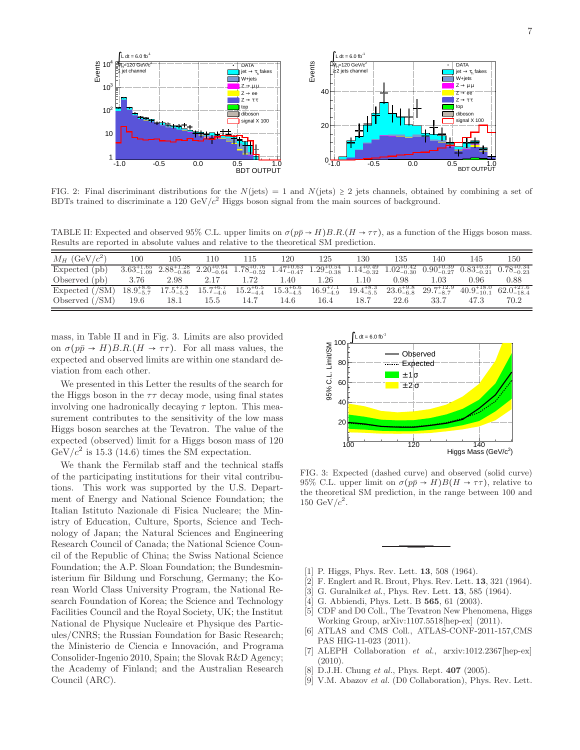

FIG. 2: Final discriminant distributions for the  $N(jets) = 1$  and  $N(jets) \ge 2$  jets channels, obtained by combining a set of BDTs trained to discriminate a 120 GeV/ $c^2$  Higgs boson signal from the main sources of background.

TABLE II: Expected and observed 95% C.L. upper limits on  $\sigma(p\bar{p} \to H)B.R.(H \to \tau\tau)$ , as a function of the Higgs boson mass. Results are reported in absolute values and relative to the theoretical SM prediction.

| $M_H$ (GeV/ $c^2$ )                      | 100  | 105  | 110  | 115                                                                                                                                                                                                                                                 | 120  | 125  | 130  | 135  | 140. | 145  | 150  |
|------------------------------------------|------|------|------|-----------------------------------------------------------------------------------------------------------------------------------------------------------------------------------------------------------------------------------------------------|------|------|------|------|------|------|------|
| $\overline{\text{Expected }(\text{pb})}$ |      |      |      | $3.63_{-1.09}^{+1.65}$ $2.88_{-0.86}^{+1.28}$ $2.20_{-0.64}^{+0.94}$ $1.78_{-0.52}^{+0.76}$ $1.47_{-0.47}^{+0.63}$ $1.29_{-0.38}^{+0.54}$ $1.14_{-0.32}^{+0.49}$ $1.02_{-0.30}^{+0.42}$ $0.90_{-0.27}^{+0.39}$ $0.83_{-0.21}^{+0.37}$ $0.78_{-0.23$ |      |      |      |      |      |      |      |
| Observed (pb)                            | 3.76 | 2.98 | 2.17 | 1.72                                                                                                                                                                                                                                                | 1.40 | 1.26 | 1.10 | 0.98 | 1.03 | 0.96 | 0.88 |
| Expected (/SM)                           |      |      |      | $18.9^{+8.6}_{-5.7}$ $17.5^{+7.8}_{-5.2}$ $15.7^{+6.7}_{-4.6}$ $15.2^{+6.5}_{-4.4}$ $15.3^{+6.6}_{-4.5}$ $16.9^{+7.1}_{-4.9}$ $19.4^{+8.3}_{-5.5}$ $23.6^{+9.8}_{-6.8}$ $29.7^{+12.9}_{-8.7}$ $40.9^{+18.0}_{-10.1}$ $62.0^{+27.6}_{-18.4}$         |      |      |      |      |      |      |      |
| Observed $(\mathrm{/SM})$                | 19.6 | 18.1 | 15.5 | 14.7                                                                                                                                                                                                                                                | 14.6 | 16.4 | 18.7 | 22.6 | 33.7 | 47.3 | 70.2 |

mass, in Table II and in Fig. 3. Limits are also provided on  $\sigma(p\bar{p} \to H)B.R.(H \to \tau\tau)$ . For all mass values, the expected and observed limits are within one standard deviation from each other.

We presented in this Letter the results of the search for the Higgs boson in the  $\tau\tau$  decay mode, using final states involving one hadronically decaying  $\tau$  lepton. This measurement contributes to the sensitivity of the low mass Higgs boson searches at the Tevatron. The value of the expected (observed) limit for a Higgs boson mass of 120  $GeV/c^2$  is 15.3 (14.6) times the SM expectation.

We thank the Fermilab staff and the technical staffs of the participating institutions for their vital contributions. This work was supported by the U.S. Department of Energy and National Science Foundation; the Italian Istituto Nazionale di Fisica Nucleare; the Ministry of Education, Culture, Sports, Science and Technology of Japan; the Natural Sciences and Engineering Research Council of Canada; the National Science Council of the Republic of China; the Swiss National Science Foundation; the A.P. Sloan Foundation; the Bundesministerium für Bildung und Forschung, Germany; the Korean World Class University Program, the National Research Foundation of Korea; the Science and Technology Facilities Council and the Royal Society, UK; the Institut National de Physique Nucleaire et Physique des Particules/CNRS; the Russian Foundation for Basic Research; the Ministerio de Ciencia e Innovación, and Programa Consolider-Ingenio 2010, Spain; the Slovak R&D Agency; the Academy of Finland; and the Australian Research Council (ARC).



FIG. 3: Expected (dashed curve) and observed (solid curve) 95% C.L. upper limit on  $\sigma(p\bar{p} \to H)B(H \to \tau\tau)$ , relative to the theoretical SM prediction, in the range between 100 and 150  $\text{GeV}/c^2$ .

- [1] P. Higgs, Phys. Rev. Lett. 13, 508 (1964).
- [2] F. Englert and R. Brout, Phys. Rev. Lett. **13**, 321 (1964).<br>[3] G. Guralnik*et al.*, Phys. Rev. Lett. **13**, 585 (1964).
- [3] G. Guralnik*et al.*, Phys. Rev. Lett. 13, 585 (1964).
- [4] G. Abbiendi, Phys. Lett. B **565**, 61 (2003).
- [5] CDF and D0 Coll., The Tevatron New Phenomena, Higgs Working Group, arXiv:1107.5518[hep-ex] (2011).
- [6] ATLAS and CMS Coll., ATLAS-CONF-2011-157,CMS PAS HIG-11-023 (2011).
- [7] ALEPH Collaboration *et al.*, arxiv:1012.2367[hep-ex] (2010).
- [8] D.J.H. Chung *et al.*, Phys. Rept. 407 (2005).
- [9] V.M. Abazov *et al.* (D0 Collaboration), Phys. Rev. Lett.